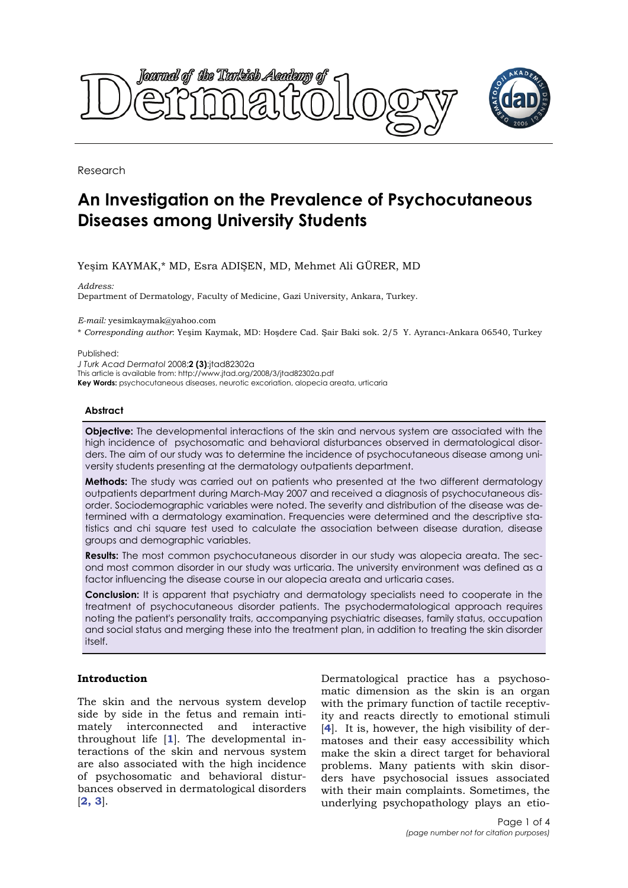

Research

# **An Investigation on the Prevalence of Psychocutaneous Diseases among University Students**

# Yeşim KAYMAK,\* MD, Esra ADIŞEN, MD, Mehmet Ali GÜRER, MD

*Address:* 

Department of Dermatology, Faculty of Medicine, Gazi University, Ankara, Turkey.

*E-mail:* yesimkaymak@yahoo.com

\* *Corresponding author*: Yeşim Kaymak, MD: Hoşdere Cad. Şair Baki sok. 2/5 Y. Ayrancı-Ankara 06540, Turkey

Published:

*J Turk Acad Dermatol* 2008;**2 (3)**:jtad82302a This article is available from: http://www.jtad.org/2008/3/jtad82302a.pdf **Key Words:** psychocutaneous diseases, neurotic excoriation, alopecia areata, urticaria

### **Abstract**

**Objective:** The developmental interactions of the skin and nervous system are associated with the high incidence of psychosomatic and behavioral disturbances observed in dermatological disorders. The aim of our study was to determine the incidence of psychocutaneous disease among university students presenting at the dermatology outpatients department.

**Methods:** The study was carried out on patients who presented at the two different dermatology outpatients department during March-May 2007 and received a diagnosis of psychocutaneous disorder. Sociodemographic variables were noted. The severity and distribution of the disease was determined with a dermatology examination. Frequencies were determined and the descriptive statistics and chi square test used to calculate the association between disease duration, disease groups and demographic variables.

**Results:** The most common psychocutaneous disorder in our study was alopecia areata. The second most common disorder in our study was urticaria. The university environment was defined as a factor influencing the disease course in our alopecia areata and urticaria cases.

**Conclusion:** It is apparent that psychiatry and dermatology specialists need to cooperate in the treatment of psychocutaneous disorder patients. The psychodermatological approach requires noting the patient's personality traits, accompanying psychiatric diseases, family status, occupation and social status and merging these into the treatment plan, in addition to treating the skin disorder itself.

## **Introduction**

The skin and the nervous system develop side by side in the fetus and remain intimately interconnected and interactive throughout life [**1**]. The developmental interactions of the skin and nervous system are also associated with the high incidence of psychosomatic and behavioral disturbances observed in dermatological disorders [**2, 3**].

Dermatological practice has a psychosomatic dimension as the skin is an organ with the primary function of tactile receptivity and reacts directly to emotional stimuli [**4**]. It is, however, the high visibility of dermatoses and their easy accessibility which make the skin a direct target for behavioral problems. Many patients with skin disorders have psychosocial issues associated with their main complaints. Sometimes, the underlying psychopathology plays an etio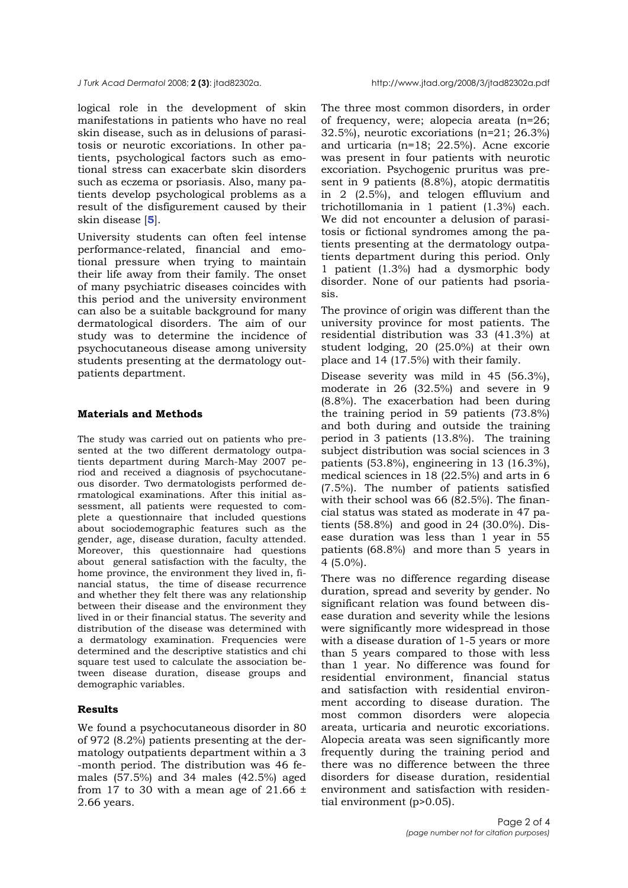*J Turk Acad Dermatol* 2008; **2 (3)**: jtad82302a. http://www.jtad.org/2008/3/jtad82302a.pdf

logical role in the development of skin manifestations in patients who have no real skin disease, such as in delusions of parasitosis or neurotic excoriations. In other patients, psychological factors such as emotional stress can exacerbate skin disorders such as eczema or psoriasis. Also, many patients develop psychological problems as a result of the disfigurement caused by their skin disease [**5**].

University students can often feel intense performance-related, financial and emotional pressure when trying to maintain their life away from their family. The onset of many psychiatric diseases coincides with this period and the university environment can also be a suitable background for many dermatological disorders. The aim of our study was to determine the incidence of psychocutaneous disease among university students presenting at the dermatology outpatients department.

# **Materials and Methods**

The study was carried out on patients who presented at the two different dermatology outpatients department during March-May 2007 period and received a diagnosis of psychocutaneous disorder. Two dermatologists performed dermatological examinations. After this initial assessment, all patients were requested to complete a questionnaire that included questions about sociodemographic features such as the gender, age, disease duration, faculty attended. Moreover, this questionnaire had questions about general satisfaction with the faculty, the home province, the environment they lived in, financial status, the time of disease recurrence and whether they felt there was any relationship between their disease and the environment they lived in or their financial status. The severity and distribution of the disease was determined with a dermatology examination. Frequencies were determined and the descriptive statistics and chi square test used to calculate the association between disease duration, disease groups and demographic variables.

# **Results**

We found a psychocutaneous disorder in 80 of 972 (8.2%) patients presenting at the dermatology outpatients department within a 3 -month period. The distribution was 46 females (57.5%) and 34 males (42.5%) aged from 17 to 30 with a mean age of  $21.66 \pm$ 2.66 years.

The three most common disorders, in order of frequency, were; alopecia areata (n=26; 32.5%), neurotic excoriations (n=21; 26.3%) and urticaria (n=18; 22.5%). Acne excorie was present in four patients with neurotic excoriation. Psychogenic pruritus was present in 9 patients (8.8%), atopic dermatitis in 2 (2.5%), and telogen effluvium and trichotillomania in 1 patient (1.3%) each. We did not encounter a delusion of parasitosis or fictional syndromes among the patients presenting at the dermatology outpatients department during this period. Only 1 patient (1.3%) had a dysmorphic body disorder. None of our patients had psoriasis.

The province of origin was different than the university province for most patients. The residential distribution was 33 (41.3%) at student lodging, 20 (25.0%) at their own place and 14 (17.5%) with their family.

Disease severity was mild in 45 (56.3%), moderate in 26 (32.5%) and severe in 9 (8.8%). The exacerbation had been during the training period in 59 patients (73.8%) and both during and outside the training period in 3 patients (13.8%). The training subject distribution was social sciences in 3 patients (53.8%), engineering in 13 (16.3%), medical sciences in 18 (22.5%) and arts in 6 (7.5%). The number of patients satisfied with their school was 66 (82.5%). The financial status was stated as moderate in 47 patients (58.8%) and good in 24 (30.0%). Disease duration was less than 1 year in 55 patients (68.8%) and more than 5 years in 4 (5.0%).

There was no difference regarding disease duration, spread and severity by gender. No significant relation was found between disease duration and severity while the lesions were significantly more widespread in those with a disease duration of 1-5 years or more than 5 years compared to those with less than 1 year. No difference was found for residential environment, financial status and satisfaction with residential environment according to disease duration. The most common disorders were alopecia areata, urticaria and neurotic excoriations. Alopecia areata was seen significantly more frequently during the training period and there was no difference between the three disorders for disease duration, residential environment and satisfaction with residential environment (p>0.05).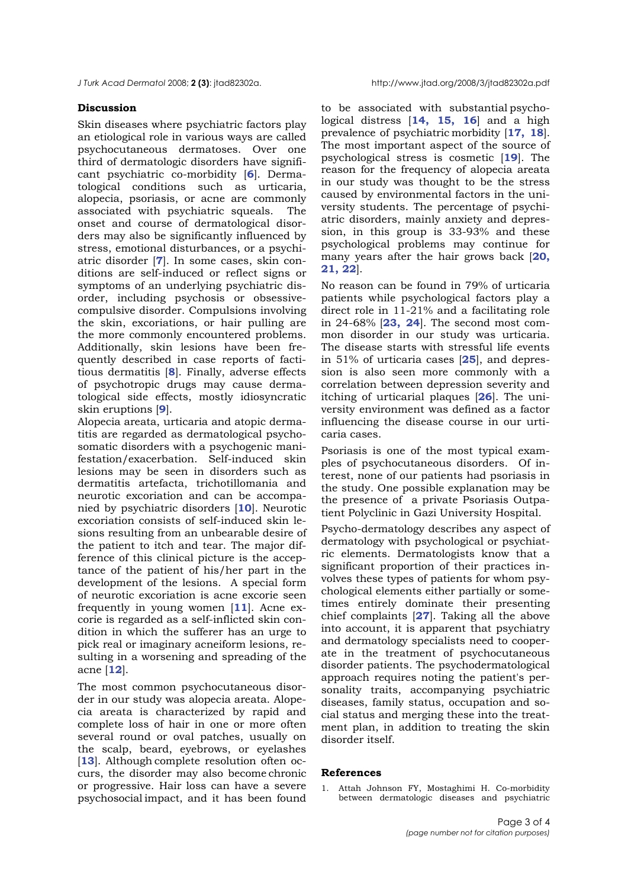*J Turk Acad Dermatol* 2008; **2 (3)**: jtad82302a. http://www.jtad.org/2008/3/jtad82302a.pdf

### **Discussion**

Skin diseases where psychiatric factors play an etiological role in various ways are called psychocutaneous dermatoses. Over one third of dermatologic disorders have significant psychiatric co-morbidity [**6**]. Dermatological conditions such as urticaria, alopecia, psoriasis, or acne are commonly associated with psychiatric squeals. The onset and course of dermatological disorders may also be significantly influenced by stress, emotional disturbances, or a psychiatric disorder [**7**]. In some cases, skin conditions are self-induced or reflect signs or symptoms of an underlying psychiatric disorder, including psychosis or obsessivecompulsive disorder. Compulsions involving the skin, excoriations, or hair pulling are the more commonly encountered problems. Additionally, skin lesions have been frequently described in case reports of factitious dermatitis [**8**]. Finally, adverse effects of psychotropic drugs may cause dermatological side effects, mostly idiosyncratic skin eruptions [**9**].

Alopecia areata, urticaria and atopic dermatitis are regarded as dermatological psychosomatic disorders with a psychogenic manifestation/exacerbation. Self-induced skin lesions may be seen in disorders such as dermatitis artefacta, trichotillomania and neurotic excoriation and can be accompanied by psychiatric disorders [**10**]. Neurotic excoriation consists of self-induced skin lesions resulting from an unbearable desire of the patient to itch and tear. The major difference of this clinical picture is the acceptance of the patient of his/her part in the development of the lesions. A special form of neurotic excoriation is acne excorie seen frequently in young women [**11**]. Acne excorie is regarded as a self-inflicted skin condition in which the sufferer has an urge to pick real or imaginary acneiform lesions, resulting in a worsening and spreading of the acne [**12**].

The most common psychocutaneous disorder in our study was alopecia areata. Alopecia areata is characterized by rapid and complete loss of hair in one or more often several round or oval patches, usually on the scalp, beard, eyebrows, or eyelashes [13]. Although complete resolution often occurs, the disorder may also become chronic or progressive. Hair loss can have a severe psychosocial impact, and it has been found

to be associated with substantial psychological distress [**14, 15, 16**] and a high prevalence of psychiatric morbidity [**17, 18**]. The most important aspect of the source of psychological stress is cosmetic [**19**]. The reason for the frequency of alopecia areata in our study was thought to be the stress caused by environmental factors in the university students. The percentage of psychiatric disorders, mainly anxiety and depression, in this group is 33-93% and these psychological problems may continue for many years after the hair grows back [**20, 21, 22**].

No reason can be found in 79% of urticaria patients while psychological factors play a direct role in 11-21% and a facilitating role in 24-68% [**23, 24**]. The second most common disorder in our study was urticaria. The disease starts with stressful life events in 51% of urticaria cases [**25**], and depression is also seen more commonly with a correlation between depression severity and itching of urticarial plaques [**26**]. The university environment was defined as a factor influencing the disease course in our urticaria cases.

Psoriasis is one of the most typical examples of psychocutaneous disorders. Of interest, none of our patients had psoriasis in the study. One possible explanation may be the presence of a private Psoriasis Outpatient Polyclinic in Gazi University Hospital.

Psycho-dermatology describes any aspect of dermatology with psychological or psychiatric elements. Dermatologists know that a significant proportion of their practices involves these types of patients for whom psychological elements either partially or sometimes entirely dominate their presenting chief complaints [**27**]. Taking all the above into account, it is apparent that psychiatry and dermatology specialists need to cooperate in the treatment of psychocutaneous disorder patients. The psychodermatological approach requires noting the patient's personality traits, accompanying psychiatric diseases, family status, occupation and social status and merging these into the treatment plan, in addition to treating the skin disorder itself.

#### **References**

1. Attah Johnson FY, Mostaghimi H. Co-morbidity between dermatologic diseases and psychiatric